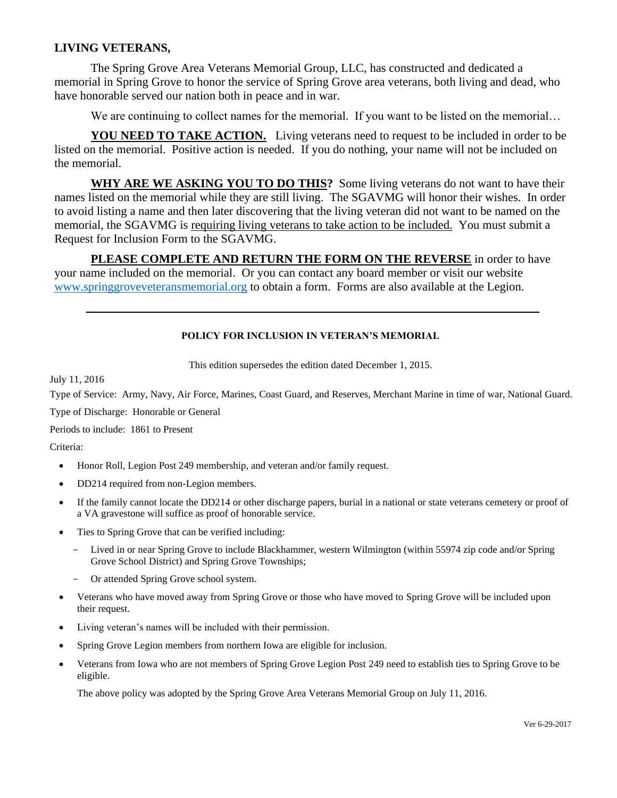## **LIVING VETERANS,**

The Spring Grove Area Veterans Memorial Group, LLC, has constructed and dedicated a memorial in Spring Grove to honor the service of Spring Grove area veterans, both living and dead, who have honorable served our nation both in peace and in war.

We are continuing to collect names for the memorial. If you want to be listed on the memorial...

**YOU NEED TO TAKE ACTION.** Living veterans need to request to be included in order to be listed on the memorial. Positive action is needed. If you do nothing, your name will not be included on the memorial.

**WHY ARE WE ASKING YOU TO DO THIS?** Some living veterans do not want to have their names listed on the memorial while they are still living. The SGAVMG will honor their wishes. In order to avoid listing a name and then later discovering that the living veteran did not want to be named on the memorial, the SGAVMG is requiring living veterans to take action to be included. You must submit a Request for Inclusion Form to the SGAVMG.

**PLEASE COMPLETE AND RETURN THE FORM ON THE REVERSE** in order to have your name included on the memorial. Or you can contact any board member or visit our website [www.springgroveveteransmemorial.org](http://www.springgroveveteransmemorial.org/) to obtain a form. Forms are also available at the Legion.

## **POLICY FOR INCLUSION IN VETERAN'S MEMORIAL**

 $\_$  , and the set of the set of the set of the set of the set of the set of the set of the set of the set of the set of the set of the set of the set of the set of the set of the set of the set of the set of the set of th

This edition supersedes the edition dated December 1, 2015.

July 11, 2016

Type of Service: Army, Navy, Air Force, Marines, Coast Guard, and Reserves, Merchant Marine in time of war, National Guard.

Type of Discharge: Honorable or General

Periods to include: 1861 to Present

Criteria:

- Honor Roll, Legion Post 249 membership, and veteran and/or family request.
- DD214 required from non-Legion members.
- If the family cannot locate the DD214 or other discharge papers, burial in a national or state veterans cemetery or proof of a VA gravestone will suffice as proof of honorable service.
- Ties to Spring Grove that can be verified including:
	- Lived in or near Spring Grove to include Blackhammer, western Wilmington (within 55974 zip code and/or Spring Grove School District) and Spring Grove Townships;
	- Or attended Spring Grove school system.
- Veterans who have moved away from Spring Grove or those who have moved to Spring Grove will be included upon their request.
- Living veteran's names will be included with their permission.
- Spring Grove Legion members from northern Iowa are eligible for inclusion.
- Veterans from Iowa who are not members of Spring Grove Legion Post 249 need to establish ties to Spring Grove to be eligible.

The above policy was adopted by the Spring Grove Area Veterans Memorial Group on July 11, 2016.